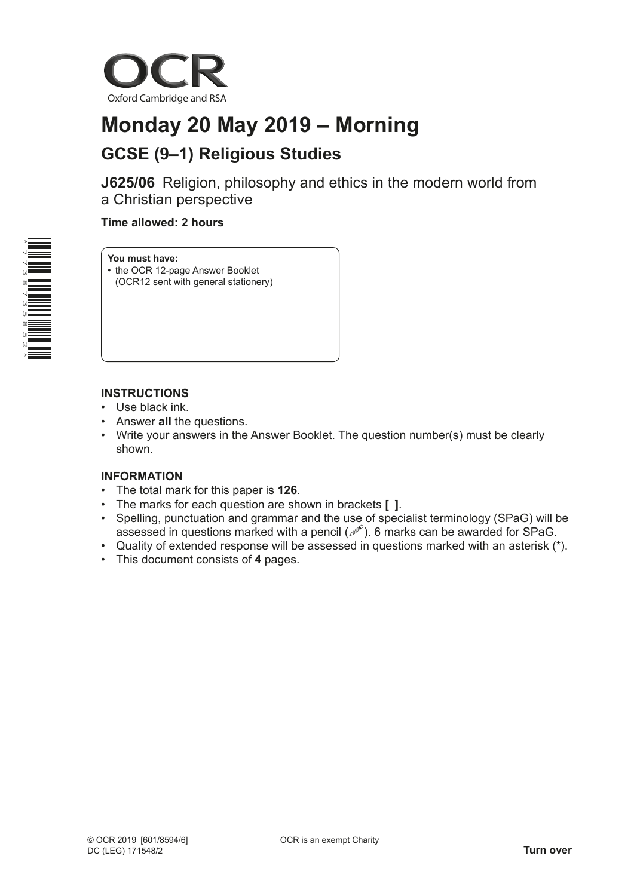

# **Monday 20 May 2019 – Morning GCSE (9–1) Religious Studies**

**J625/06** Religion, philosophy and ethics in the modern world from a Christian perspective

## **Time allowed: 2 hours**



#### **You must have:**

- the OCR 12-page Answer Booklet
- (OCR12 sent with general stationery)

## **INSTRUCTIONS**

- Use black ink.
- Answer **all** the questions.
- Write your answers in the Answer Booklet. The question number(s) must be clearly shown.

## **INFORMATION**

- The total mark for this paper is **126**.
- The marks for each question are shown in brackets **[ ]**.
- Spelling, punctuation and grammar and the use of specialist terminology (SPaG) will be assessed in questions marked with a pencil  $(\mathcal{P})$ . 6 marks can be awarded for SPaG.
- Quality of extended response will be assessed in questions marked with an asterisk (\*).
- This document consists of **4** pages.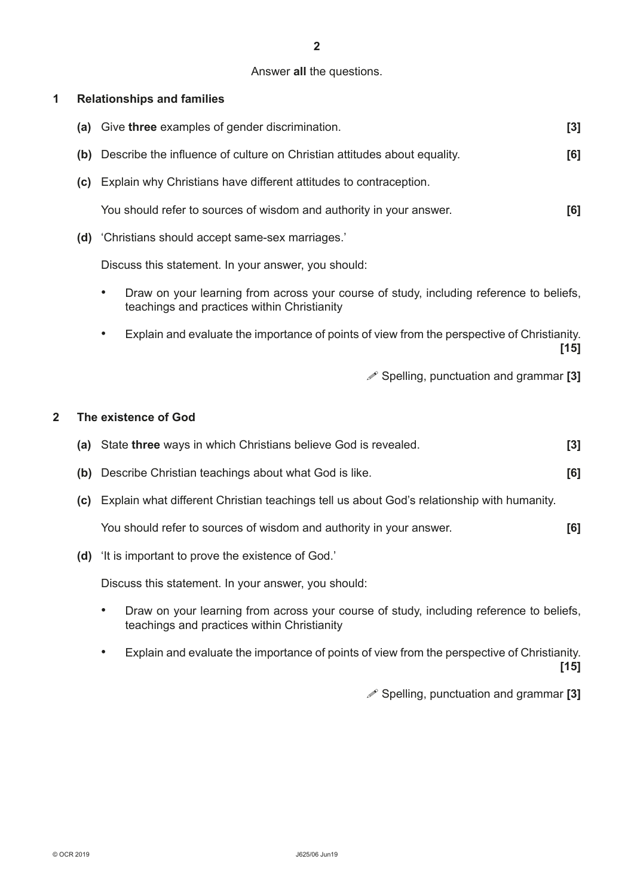## Answer **all** the questions.

## **1 Relationships and families**

|                         | (a) Give three examples of gender discrimination.                                                                                                   | $[3]$  |
|-------------------------|-----------------------------------------------------------------------------------------------------------------------------------------------------|--------|
|                         | (b) Describe the influence of culture on Christian attitudes about equality.                                                                        | [6]    |
|                         | (c) Explain why Christians have different attitudes to contraception.                                                                               |        |
|                         | You should refer to sources of wisdom and authority in your answer.                                                                                 | [6]    |
|                         | (d) 'Christians should accept same-sex marriages.'                                                                                                  |        |
|                         | Discuss this statement. In your answer, you should:                                                                                                 |        |
|                         | Draw on your learning from across your course of study, including reference to beliefs,<br>$\bullet$<br>teachings and practices within Christianity |        |
|                         | Explain and evaluate the importance of points of view from the perspective of Christianity.                                                         | $[15]$ |
|                         | $\mathscr{P}$ Spelling, punctuation and grammar [3]                                                                                                 |        |
| $\overline{\mathbf{2}}$ | The existence of God                                                                                                                                |        |
|                         | (a) State three ways in which Christians believe God is revealed.                                                                                   | [3]    |
|                         |                                                                                                                                                     |        |
|                         | (b) Describe Christian teachings about what God is like.                                                                                            | [6]    |
|                         | (c) Explain what different Christian teachings tell us about God's relationship with humanity.                                                      |        |
|                         | You should refer to sources of wisdom and authority in your answer.                                                                                 | [6]    |
| (d)                     | 'It is important to prove the existence of God.'                                                                                                    |        |
|                         | Discuss this statement. In your answer, you should:                                                                                                 |        |
|                         | Draw on your learning from across your course of study, including reference to beliefs,<br>teachings and practices within Christianity              |        |
|                         | Explain and evaluate the importance of points of view from the perspective of Christianity.                                                         |        |

**[15]**

Spelling, punctuation and grammar **[3]**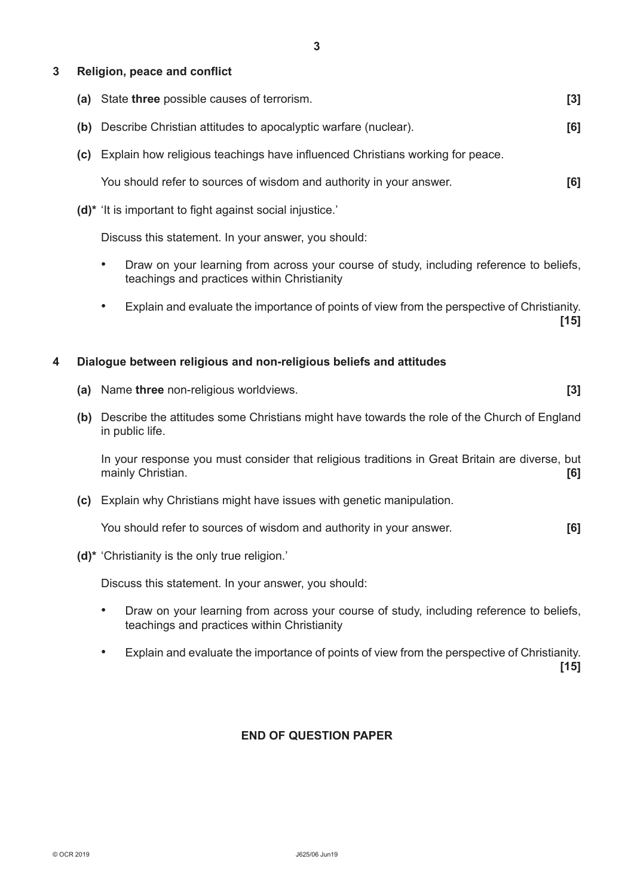## **3 Religion, peace and conflict**

- **(a)** State **three** possible causes of terrorism. **[3]**
- **(b)** Describe Christian attitudes to apocalyptic warfare (nuclear). **[6]**
- **(c)** Explain how religious teachings have influenced Christians working for peace.

You should refer to sources of wisdom and authority in your answer. **[6]**

**(d)\*** 'It is important to fight against social injustice.'

Discuss this statement. In your answer, you should:

- Draw on your learning from across your course of study, including reference to beliefs, teachings and practices within Christianity
- Explain and evaluate the importance of points of view from the perspective of Christianity. **[15]**

### **4 Dialogue between religious and non-religious beliefs and attitudes**

- **(a)** Name **three** non-religious worldviews. **[3]**
- **(b)** Describe the attitudes some Christians might have towards the role of the Church of England in public life.

In your response you must consider that religious traditions in Great Britain are diverse, but mainly Christian. **[6]**

**(c)** Explain why Christians might have issues with genetic manipulation.

You should refer to sources of wisdom and authority in your answer. **[6]**

**(d)\*** 'Christianity is the only true religion.'

Discuss this statement. In your answer, you should:

- Draw on your learning from across your course of study, including reference to beliefs, teachings and practices within Christianity
- Explain and evaluate the importance of points of view from the perspective of Christianity. **[15]**

## **END OF QUESTION PAPER**